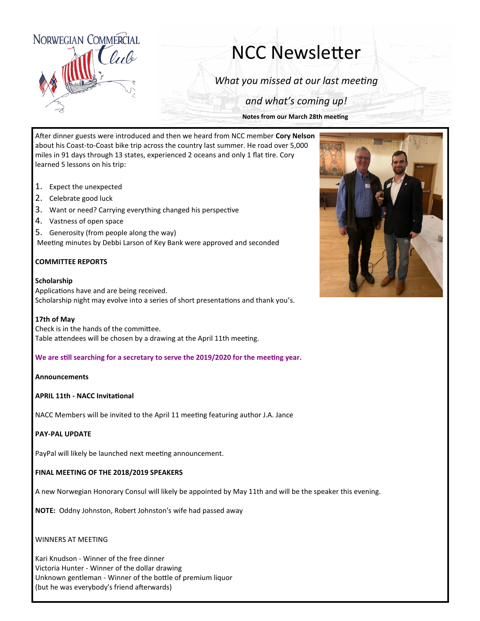

# NCC Newsletter

*What you missed at our last meeting*

*and what's coming up!*

**Notes from our March 28th meeting**

After dinner guests were introduced and then we heard from NCC member **Cory Nelson**  about his Coast-to-Coast bike trip across the country last summer. He road over 5,000 miles in 91 days through 13 states, experienced 2 oceans and only 1 flat tire. Cory learned 5 lessons on his trip:

- 1. Expect the unexpected
- 2. Celebrate good luck
- 3. Want or need? Carrying everything changed his perspective
- 4. Vastness of open space
- 5. Generosity (from people along the way)

Meeting minutes by Debbi Larson of Key Bank were approved and seconded

# **COMMITTEE REPORTS**

#### **Scholarship**

Applications have and are being received. Scholarship night may evolve into a series of short presentations and thank you's.

#### **17th of May**

Check is in the hands of the committee. Table attendees will be chosen by a drawing at the April 11th meeting.

#### **We are still searching for a secretary to serve the 2019/2020 for the meeting year.**

#### **Announcements**

# **APRIL 11th - NACC Invitational**

NACC Members will be invited to the April 11 meeting featuring author J.A. Jance

# **PAY-PAL UPDATE**

PayPal will likely be launched next meeting announcement.

# **FINAL MEETING OF THE 2018/2019 SPEAKERS**

A new Norwegian Honorary Consul will likely be appointed by May 11th and will be the speaker this evening.

**NOTE:** Oddny Johnston, Robert Johnston's wife had passed away

# WINNERS AT MEETING

Kari Knudson - Winner of the free dinner Victoria Hunter - Winner of the dollar drawing Unknown gentleman - Winner of the bottle of premium liquor (but he was everybody's friend afterwards)